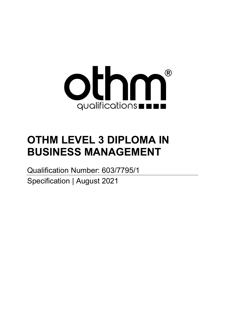

# **OTHM LEVEL 3 DIPLOMA IN BUSINESS MANAGEMENT**

Qualification Number: 603/7795/1 Specification | August 2021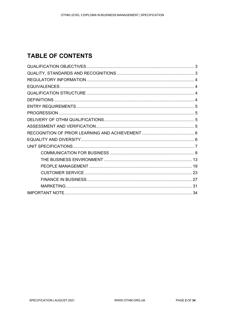## **TABLE OF CONTENTS**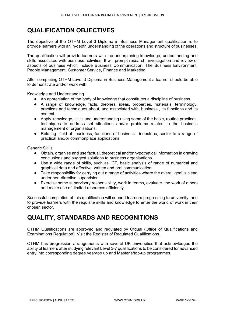## <span id="page-2-0"></span>**QUALIFICATION OBJECTIVES**

The objective of the OTHM Level 3 Diploma in Business Management qualification is to provide learners with an in-depth understanding of the operations and structure of businesses.

The qualification will provide learners with the underpinning knowledge, understanding and skills associated with business activities. It will prompt research, investigation and review of aspects of business which include Business Communication, The Business Environment, People Management, Customer Service, Finance and Marketing.

After completing OTHM Level 3 Diploma in Business Management a learner should be able to demonstrate and/or work with:

Knowledge and Understanding

- An appreciation of the body of knowledge that constitutes a discipline of business.
- A range of knowledge, facts, theories, ideas, properties, materials, terminology, practices and techniques about, and associated with, business , its functions and its context.
- Apply knowledge, skills and understanding using some of the basic, routine practices, techniques to address set situations and/or problems related to the business management of organisations.
- Relating field of business, functions of business, industries, sector to a range of practical and/or commonplace applications.

Generic Skills

- Obtain, organise and use factual, theoretical and/or hypothetical information in drawing conclusions and suggest solutions to business organisations.
- Use a wide range of skills, such as ICT, basic analysis of range of numerical and graphical data and effective written and oral communication.
- Take responsibility for carrying out a range of activities where the overall goal is clear, under non-directive supervision.
- Exercise some supervisory responsibility, work in teams, evaluate the work of others and make use of limited resources efficiently.

Successful completion of this qualification will support learners progressing to university, and to provide learners with the requisite skills and knowledge to enter the world of work in their chosen sector.

## <span id="page-2-1"></span>**QUALITY, STANDARDS AND RECOGNITIONS**

OTHM Qualifications are approved and regulated by Ofqual (Office of Qualifications and Examinations Regulation). Visit the Register of [Regulated Qualifications.](http://register.ofqual.gov.uk/)

OTHM has progression arrangements with several UK universities that acknowledges the ability of learners after studying relevant Level 3-7 qualifications to be considered for advanced entry into corresponding degree year/top up and Master's/top-up programmes.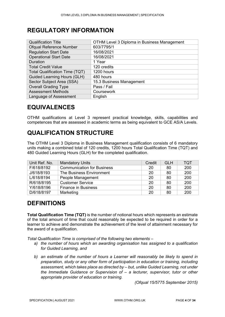## <span id="page-3-0"></span>**REGULATORY INFORMATION**

| <b>Qualification Title</b>            | OTHM Level 3 Diploma in Business Management |
|---------------------------------------|---------------------------------------------|
| <b>Ofqual Reference Number</b>        | 603/7795/1                                  |
| <b>Regulation Start Date</b>          | 16/08/2021                                  |
| <b>Operational Start Date</b>         | 16/08/2021                                  |
| Duration                              | 1 Year                                      |
| <b>Total Credit Value</b>             | 120 credits                                 |
| <b>Total Qualification Time (TQT)</b> | 1200 hours                                  |
| <b>Guided Learning Hours (GLH)</b>    | 480 hours                                   |
| Sector Subject Area (SSA)             | 15.3 Business Management                    |
| <b>Overall Grading Type</b>           | Pass / Fail                                 |
| <b>Assessment Methods</b>             | Coursework                                  |
| Language of Assessment                | English                                     |

## <span id="page-3-1"></span>**EQUIVALENCES**

OTHM qualifications at Level 3 represent practical knowledge, skills, capabilities and competences that are assessed in academic terms as being equivalent to GCE AS/A Levels.

## <span id="page-3-2"></span>**QUALIFICATION STRUCTURE**

The OTHM Level 3 Diploma in Business Management qualification consists of 6 mandatory units making a combined total of 120 credits, 1200 hours Total Qualification Time (TQT) and 480 Guided Learning Hours (GLH) for the completed qualification.

| Unit Ref. No. | <b>Mandatory Units</b>            | Credit | <b>GLH</b> | <b>TQT</b> |
|---------------|-----------------------------------|--------|------------|------------|
| F/618/8192    | <b>Communication for Business</b> | 20     | 80         | 200        |
| J/618/8193    | The Business Environment          | 20     | 80         | 200        |
| L/618/8194    | People Management                 | 20     | 80         | 200        |
| R/618/8195    | <b>Customer Service</b>           | 20     | 80         | 200        |
| Y/618/8196    | <b>Finance in Business</b>        | 20     | 80         | 200        |
| D/618/8197    | Marketing                         | 20     | 80         | 200        |

## <span id="page-3-3"></span>**DEFINITIONS**

**Total Qualification Time (TQT)** is the number of notional hours which represents an estimate of the total amount of time that could reasonably be expected to be required in order for a learner to achieve and demonstrate the achievement of the level of attainment necessary for the award of a qualification.

*Total Qualification Time is comprised of the following two elements –*

- *a) the number of hours which an awarding organisation has assigned to a qualification for Guided Learning, and*
- *b) an estimate of the number of hours a Learner will reasonably be likely to spend in preparation, study or any other form of participation in education or training, including assessment, which takes place as directed by – but, unlike Guided Learning, not under the Immediate Guidance or Supervision of – a lecturer, supervisor, tutor or other appropriate provider of education or training.*

*(Ofqual 15/5775 September 2015)*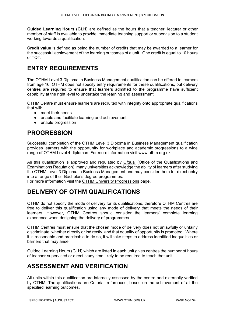**Guided Learning Hours (GLH)** are defined as the hours that a teacher, lecturer or other member of staff is available to provide immediate teaching support or supervision to a student working towards a qualification.

**Credit value** is defined as being the number of credits that may be awarded to a learner for the successful achievement of the learning outcomes of a unit. One credit is equal to 10 hours of TQT.

## <span id="page-4-0"></span>**ENTRY REQUIREMENTS**

The OTHM Level 3 Diploma in Business Management qualification can be offered to learners from age 16. OTHM does not specify entry requirements for these qualifications, but delivery centres are required to ensure that learners admitted to the programme have sufficient capability at the right level to undertake the learning and assessment.

OTHM Centre must ensure learners are recruited with integrity onto appropriate qualifications that will:

- meet their needs
- enable and facilitate learning and achievement
- enable progression

## <span id="page-4-1"></span>**PROGRESSION**

Successful completion of the OTHM Level 3 Diploma in Business Management qualification provides learners with the opportunity for workplace and academic progressions to a wide range of OTHM Level 4 diplomas. For more information visit [www.othm.org.uk.](http://www.othm.org.uk/)

As this qualification is approved and regulated by [Ofqual](https://www.gov.uk/government/organisations/ofqual) (Office of the Qualifications and Examinations Regulation), many universities acknowledge the ability of learners after studying the OTHM Level 3 Diploma in Business Management and may consider them for direct entry into a range of their Bachelor's degree programmes.

<span id="page-4-2"></span>For more information visit the [OTHM University Progressions](https://www.othm.org.uk/university-progression.html) page.

## **DELIVERY OF OTHM QUALIFICATIONS**

OTHM do not specify the mode of delivery for its qualifications, therefore OTHM Centres are free to deliver this qualification using any mode of delivery that meets the needs of their learners. However, OTHM Centres should consider the learners' complete learning experience when designing the delivery of programmes.

OTHM Centres must ensure that the chosen mode of delivery does not unlawfully or unfairly discriminate, whether directly or indirectly, and that equality of opportunity is promoted. Where it is reasonable and practicable to do so, it will take steps to address identified inequalities or barriers that may arise.

Guided Learning Hours (GLH) which are listed in each unit gives centres the number of hours of teacher-supervised or direct study time likely to be required to teach that unit.

## <span id="page-4-3"></span>**ASSESSMENT AND VERIFICATION**

All units within this qualification are internally assessed by the centre and externally verified by OTHM. The qualifications are Criteria referenced, based on the achievement of all the specified learning outcomes.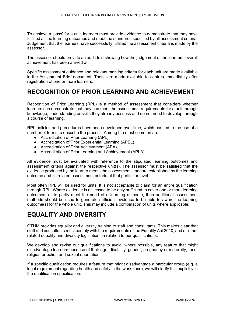To achieve a 'pass' for a unit, learners must provide evidence to demonstrate that they have fulfilled all the learning outcomes and meet the standards specified by all assessment criteria. Judgement that the learners have successfully fulfilled the assessment criteria is made by the assessor.

The assessor should provide an audit trail showing how the judgement of the learners' overall achievement has been arrived at.

Specific assessment guidance and relevant marking criteria for each unit are made available in the Assignment Brief document. These are made available to centres immediately after registration of one or more learners.

## <span id="page-5-0"></span>**RECOGNITION OF PRIOR LEARNING AND ACHIEVEMENT**

Recognition of Prior Learning (RPL) is a method of assessment that considers whether learners can demonstrate that they can meet the assessment requirements for a unit through knowledge, understanding or skills they already possess and do not need to develop through a course of learning.

RPL policies and procedures have been developed over time, which has led to the use of a number of terms to describe the process. Among the most common are:

- Accreditation of Prior Learning (APL)
- Accreditation of Prior Experiential Learning (APEL)
- Accreditation of Prior Achievement (APA)
- Accreditation of Prior Learning and Achievement (APLA)

All evidence must be evaluated with reference to the stipulated learning outcomes and assessment criteria against the respective unit(s). The assessor must be satisfied that the evidence produced by the learner meets the assessment standard established by the learning outcome and its related assessment criteria at that particular level.

Most often RPL will be used for units. It is not acceptable to claim for an entire qualification through RPL. Where evidence is assessed to be only sufficient to cover one or more learning outcomes, or to partly meet the need of a learning outcome, then additional assessment methods should be used to generate sufficient evidence to be able to award the learning outcome(s) for the whole unit. This may include a combination of units where applicable.

## <span id="page-5-1"></span>**EQUALITY AND DIVERSITY**

OTHM provides equality and diversity training to staff and consultants. This makes clear that staff and consultants must comply with the requirements of the Equality Act 2010, and all other related equality and diversity legislation, in relation to our qualifications.

We develop and revise our qualifications to avoid, where possible, any feature that might disadvantage learners because of their age, disability, gender, pregnancy or maternity, race, religion or belief, and sexual orientation.

If a specific qualification requires a feature that might disadvantage a particular group (e.g. a legal requirement regarding health and safety in the workplace), we will clarify this explicitly in the qualification specification.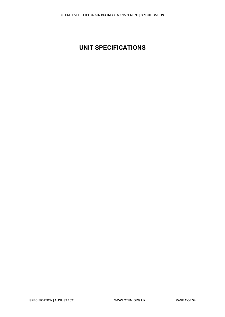# <span id="page-6-0"></span>**UNIT SPECIFICATIONS**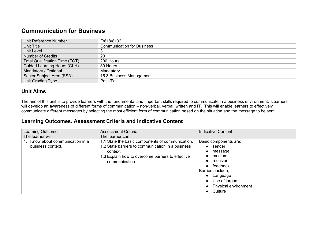## **Communication for Business**

| Unit Reference Number                 | F/618/8192                        |
|---------------------------------------|-----------------------------------|
| Unit Title                            | <b>Communication for Business</b> |
| <b>Unit Level</b>                     |                                   |
| <b>Number of Credits</b>              | 20                                |
| <b>Total Qualification Time (TQT)</b> | 200 Hours                         |
| <b>Guided Learning Hours (GLH)</b>    | 80 Hours                          |
| Mandatory / Optional                  | Mandatory                         |
| Sector Subject Area (SSA)             | 15.3 Business Management          |
| Unit Grading Type                     | Pass/Fail                         |

#### **Unit Aims**

The aim of this unit is to provide learners with the fundamental and important skills required to communicate in a business environment. Learners will develop an awareness of different forms of communication – non-verbal, verbal, written and IT. This will enable learners to effectively communicate different messages by selecting the most efficient form of communication based on the situation and the message to be sent.

<span id="page-7-0"></span>

| Learning Outcome -<br>The learner will:               | Assessment Criteria -<br>The learner can:                                                                                                                                                | <b>Indicative Content</b>                                                                                                                                                                                                                               |
|-------------------------------------------------------|------------------------------------------------------------------------------------------------------------------------------------------------------------------------------------------|---------------------------------------------------------------------------------------------------------------------------------------------------------------------------------------------------------------------------------------------------------|
| 1. Know about communication in a<br>business context. | 1.1 State the basic components of communication.<br>1.2 State barriers to communication in a business<br>context.<br>1.3 Explain how to overcome barriers to effective<br>communication. | Basic components are;<br>$\bullet$ sender<br>message<br>$\bullet$<br>medium<br>$\bullet$<br>$\bullet$ receiver<br>$\bullet$ feedback<br>Barriers include;<br>Language<br>$\bullet$<br>• Use of jargon<br>• Physical environment<br>Culture<br>$\bullet$ |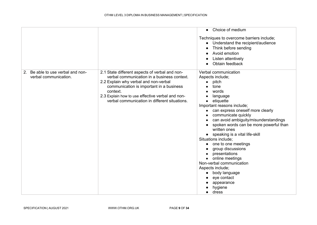|                                                                           |                                                                                                                                                                                                                                                                                                     | Choice of medium<br>$\bullet$                                                                                                                                                                                                                                                                                                                                                                                                                                                                                                                                                                                                      |
|---------------------------------------------------------------------------|-----------------------------------------------------------------------------------------------------------------------------------------------------------------------------------------------------------------------------------------------------------------------------------------------------|------------------------------------------------------------------------------------------------------------------------------------------------------------------------------------------------------------------------------------------------------------------------------------------------------------------------------------------------------------------------------------------------------------------------------------------------------------------------------------------------------------------------------------------------------------------------------------------------------------------------------------|
|                                                                           |                                                                                                                                                                                                                                                                                                     | Techniques to overcome barriers include;<br>Understand the recipient/audience<br>$\bullet$<br>Think before sending<br>Avoid emotion<br>Listen attentively<br>Obtain feedback                                                                                                                                                                                                                                                                                                                                                                                                                                                       |
| Be able to use verbal and non-<br>2 <sub>1</sub><br>verbal communication. | 2.1 State different aspects of verbal and non-<br>verbal communication in a business context.<br>2.2 Explain why verbal and non-verbal<br>communication is important in a business<br>context.<br>2.3 Explain how to use effective verbal and non-<br>verbal communication in different situations. | Verbal communication<br>Aspects include;<br>pitch<br>tone<br>words<br>language<br>etiquette<br>$\bullet$<br>Important reasons include;<br>can express oneself more clearly<br>$\bullet$<br>communicate quickly<br>can avoid ambiguity/misunderstandings<br>spoken words can be more powerful than<br>$\bullet$<br>written ones<br>• speaking is a vital life-skill<br>Situations include;<br>one to one meetings<br>group discussions<br>$\bullet$<br>presentations<br>$\bullet$<br>online meetings<br>$\bullet$<br>Non-verbal communication<br>Aspects include;<br>body language<br>eye contact<br>appearance<br>hygiene<br>dress |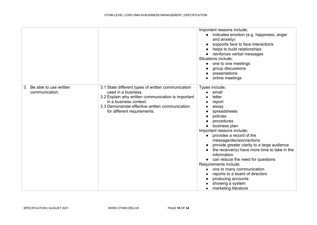|                                                |                                                                                                                                                                                                                                             | Important reasons include;<br>indicates emotion (e.g. happiness, anger<br>$\bullet$<br>and anxiety)<br>supports face to face interactions<br>helps to build relationships<br>reinforces verbal messages<br>Situations include;<br>one to one meetings<br>$\bullet$<br>group discussions<br>presentations<br>online meetings<br>$\bullet$                                                                                                                                                                                                                                   |
|------------------------------------------------|---------------------------------------------------------------------------------------------------------------------------------------------------------------------------------------------------------------------------------------------|----------------------------------------------------------------------------------------------------------------------------------------------------------------------------------------------------------------------------------------------------------------------------------------------------------------------------------------------------------------------------------------------------------------------------------------------------------------------------------------------------------------------------------------------------------------------------|
| Be able to use written<br>3.<br>communication. | 3.1 State different types of written communication<br>used in a business.<br>3.2 Explain why written communication is important<br>in a business context.<br>3.3 Demonstrate effective written communication<br>for different requirements. | Types include;<br>email<br>$\bullet$<br>letter<br>report<br>essay<br>spreadsheets<br>policies<br>$\bullet$<br>procedures<br>business plan<br>Important reasons include;<br>provides a record of the<br>$\bullet$<br>message/decision/actions<br>provide greater clarity to a large audience<br>the receiver(s) have more time to take in the<br>information<br>• can reduce the need for questions<br>Requirements include;<br>one to many communication<br>reports to a board of directors<br>producing accounts<br>showing a system<br>marketing literature<br>$\bullet$ |

SPECIFICATION | AUGUST 2021 WWW.OTHM.ORG.UK PAGE 10 OF 34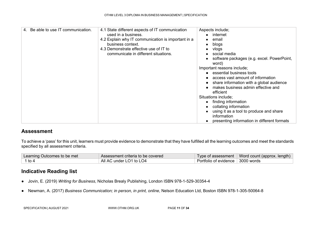| 4. Be able to use IT communication. | 4.1 State different aspects of IT communication<br>used in a business.<br>4.2 Explain why IT communication is important in a<br>business context.<br>4.3 Demonstrate effective use of IT to<br>communicate in different situations. | Aspects include;<br>internet<br>email<br>blogs<br>$\bullet$<br>vlogs<br>social media<br>$\bullet$<br>software packages (e.g. excel. PowerPoint,<br>word)<br>Important reasons include;<br>essential business tools<br>$\bullet$<br>access vast amount of information<br>share information with a global audience<br>makes business admin effective and<br>efficient<br>Situations include;<br>finding information<br>$\bullet$<br>collating information<br>using it as a tool to produce and share<br>information<br>presenting information in different formats<br>$\bullet$ |
|-------------------------------------|-------------------------------------------------------------------------------------------------------------------------------------------------------------------------------------------------------------------------------------|-------------------------------------------------------------------------------------------------------------------------------------------------------------------------------------------------------------------------------------------------------------------------------------------------------------------------------------------------------------------------------------------------------------------------------------------------------------------------------------------------------------------------------------------------------------------------------|

To achieve a 'pass' for this unit, learners must provide evidence to demonstrate that they have fulfilled all the learning outcomes and meet the standards specified by all assessment criteria.

| Learning Outcomes to be met | Assessment criteria to be covered |                                    | Type of assessment   Word count (approx. length) |
|-----------------------------|-----------------------------------|------------------------------------|--------------------------------------------------|
| 1 to 4                      | All AC under LO1 to LO4           | Portfolio of evidence   3000 words |                                                  |

- Jovin, E. (2019) *Writing for Business*, Nicholas Brealy Publishing, London ISBN 978-1-529-30354-4
- Newman, A. (2017) *Business Communication; in person, in print, online*, Nelson Education Ltd, Boston ISBN 978-1-305-50064-8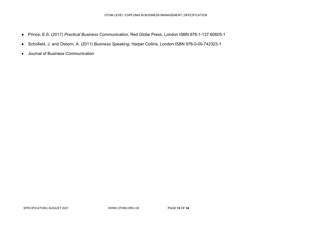- Prince, E.S. (2017) *Practical Business Communication*, Red Globe Press, London ISBN 978-1-137-60605-1
- Schofield, J. and Osborn, A. (2011) *Business Speaking*, Harper Collins, London ISBN 978-0-00-742323-1
- Journal of Business Communication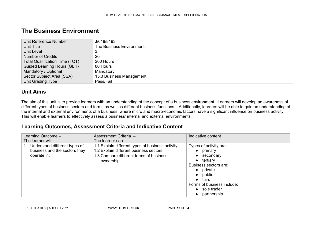## **The Business Environment**

| Unit Reference Number                 | J/618/8193               |
|---------------------------------------|--------------------------|
| Unit Title                            | The Business Environment |
| Unit Level                            | 3                        |
| Number of Credits                     | 20                       |
| <b>Total Qualification Time (TQT)</b> | 200 Hours                |
| <b>Guided Learning Hours (GLH)</b>    | 80 Hours                 |
| Mandatory / Optional                  | Mandatory                |
| Sector Subject Area (SSA)             | 15.3 Business Management |
| Unit Grading Type                     | Pass/Fail                |

#### **Unit Aims**

The aim of this unit is to provide learners with an understanding of the concept of a business environment. Learners will develop an awareness of different types of business sectors and forms as well as different business functions. Additionally, learners will be able to gain an understanding of the internal and external environments of a business, where micro and macro-economic factors have a significant influence on business activity. This will enable learners to effectively assess a business' internal and external environments.

<span id="page-12-0"></span>

| Learning Outcome -<br>The learner will:                                       | Assessment Criteria -<br>The learner can:                                                                                                             | Indicative content                                                                                                                                                                                                                                         |
|-------------------------------------------------------------------------------|-------------------------------------------------------------------------------------------------------------------------------------------------------|------------------------------------------------------------------------------------------------------------------------------------------------------------------------------------------------------------------------------------------------------------|
| Understand different types of<br>business and the sectors they<br>operate in. | 1.1 Explain different types of business activity.<br>1.2 Explain different business sectors.<br>1.3 Compare different forms of business<br>ownership. | Types of activity are;<br>primary<br>$\bullet$<br>secondary<br>$\bullet$<br>$\bullet$ tertiary<br>Business sectors are;<br>private<br>$\bullet$<br>public<br>$\bullet$<br>third<br>$\bullet$<br>Forms of business include;<br>• sole trader<br>partnership |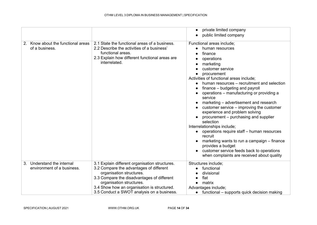|                                                                         |                                                                                                                                                                                                                                                                                              | private limited company                                                                                                                                                                                                                                                                                                                                                                                                                                                                                                                                                                                                                                                                                                                                       |
|-------------------------------------------------------------------------|----------------------------------------------------------------------------------------------------------------------------------------------------------------------------------------------------------------------------------------------------------------------------------------------|---------------------------------------------------------------------------------------------------------------------------------------------------------------------------------------------------------------------------------------------------------------------------------------------------------------------------------------------------------------------------------------------------------------------------------------------------------------------------------------------------------------------------------------------------------------------------------------------------------------------------------------------------------------------------------------------------------------------------------------------------------------|
|                                                                         |                                                                                                                                                                                                                                                                                              | public limited company                                                                                                                                                                                                                                                                                                                                                                                                                                                                                                                                                                                                                                                                                                                                        |
| Know about the functional areas<br>2.<br>of a business.                 | 2.1 State the functional areas of a business.<br>2.2 Describe the activities of a business'<br>functional areas.<br>2.3 Explain how different functional areas are<br>interrelated.                                                                                                          | Functional areas include;<br>human resources<br>finance<br>operations<br>marketing<br>customer service<br>procurement<br>Activities of functional areas include;<br>human resources – recruitment and selection<br>finance – budgeting and payroll<br>operations – manufacturing or providing a<br>service<br>marketing - advertisement and research<br>customer service – improving the customer<br>experience and problem solving<br>procurement – purchasing and supplier<br>selection<br>Interrelationships include;<br>operations require staff - human resources<br>$\bullet$<br>recruit<br>marketing wants to run a campaign – finance<br>provides a budget<br>customer service feeds back to operations<br>when complaints are received about quality |
| Understand the internal<br>3 <sub>1</sub><br>environment of a business. | 3.1 Explain different organisation structures.<br>3.2 Compare the advantages of different<br>organisation structures.<br>3.3 Compare the disadvantages of different<br>organisation structures.<br>3.4 Show how an organisation is structured.<br>3.5 Conduct a SWOT analysis on a business. | Structures include;<br>functional<br>divisional<br>flat<br>matrix<br>$\bullet$<br>Advantages include;<br>$\bullet$ functional – supports quick decision making                                                                                                                                                                                                                                                                                                                                                                                                                                                                                                                                                                                                |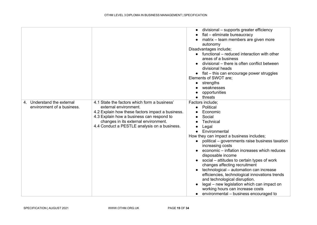|                                                          |                                                                                                                                                                                                                                                                | divisional - supports greater efficiency<br>flat - eliminate bureaucracy<br>matrix - team members are given more<br>autonomy<br>Disadvantages include;<br>functional – reduced interaction with other<br>areas of a business<br>divisional – there is often conflict between<br>divisional heads<br>• flat - this can encourage power struggles<br>Elements of SWOT are;<br>strengths<br>$\bullet$<br>weaknesses<br>opportunities<br>threats                                                                                                                                                                                  |
|----------------------------------------------------------|----------------------------------------------------------------------------------------------------------------------------------------------------------------------------------------------------------------------------------------------------------------|-------------------------------------------------------------------------------------------------------------------------------------------------------------------------------------------------------------------------------------------------------------------------------------------------------------------------------------------------------------------------------------------------------------------------------------------------------------------------------------------------------------------------------------------------------------------------------------------------------------------------------|
| 4. Understand the external<br>environment of a business. | 4.1 State the factors which form a business'<br>external environment.<br>4.2 Explain how these factors impact a business.<br>4.3 Explain how a business can respond to<br>changes in its external environment.<br>4.4 Conduct a PESTLE analysis on a business. | Factors include;<br>Political<br>Economic<br>Social<br>Technical<br>Legal<br>Environmental<br>How they can impact a business includes;<br>political - governments raise business taxation<br>increasing costs<br>economic - inflation increases which reduces<br>disposable income<br>social – attitudes to certain types of work<br>changes affecting recruitment<br>technological - automation can increase<br>efficiencies, technological innovations trends<br>and technological disruption.<br>legal - new legislation which can impact on<br>working hours can increase costs<br>environmental – business encouraged to |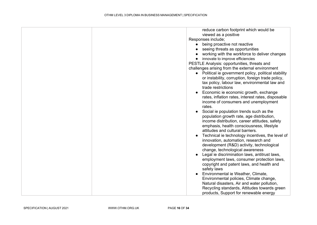| reduce carbon footprint which would be<br>viewed as a positive<br>Responses include;<br>being proactive not reactive<br>$\bullet$<br>seeing threats as opportunities<br>working with the workforce to deliver changes<br>innovate to improve efficiencies<br>$\bullet$<br>PESTLE Analysis: opportunities, threats and<br>challenges arising from the external environment<br>• Political ie government policy, political stability                                                                                                                                                                                                                                                                                                                                                                                                                                   |
|----------------------------------------------------------------------------------------------------------------------------------------------------------------------------------------------------------------------------------------------------------------------------------------------------------------------------------------------------------------------------------------------------------------------------------------------------------------------------------------------------------------------------------------------------------------------------------------------------------------------------------------------------------------------------------------------------------------------------------------------------------------------------------------------------------------------------------------------------------------------|
| or instability, corruption, foreign trade policy,<br>tax policy, labour law, environmental law and<br>trade restrictions<br>Economic ie economic growth, exchange<br>$\bullet$<br>rates, inflation rates, interest rates, disposable<br>income of consumers and unemployment<br>rates.<br>Social ie population trends such as the<br>$\bullet$<br>population growth rate, age distribution,<br>income distribution, career attitudes, safety<br>emphasis, health consciousness, lifestyle<br>attitudes and cultural barriers.<br>Technical ie technology incentives, the level of<br>innovation, automation, research and<br>development (R&D) activity, technological<br>change, technological awareness<br>Legal ie discrimination laws, antitrust laws,<br>employment laws, consumer protection laws,<br>copyright and patent laws, and health and<br>safety laws |
| Environmental ie Weather, Climate,<br>$\bullet$<br>Environmental policies, Climate change,<br>Natural disasters, Air and water pollution,<br>Recycling standards, Attitudes towards green<br>products, Support for renewable energy                                                                                                                                                                                                                                                                                                                                                                                                                                                                                                                                                                                                                                  |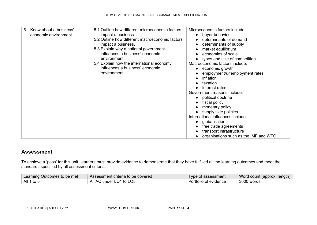| Know about a business'<br>5.<br>economic environment. | 5.1 Outline how different microeconomic factors<br>impact a business.<br>5.2 Outline how different macroeconomic factors<br>impact a business.<br>5.3 Explain why a national government<br>influences a business' economic<br>environment.<br>5.4 Explain how the international economy<br>influences a business' economic<br>environment. | Microeconomic factors include;<br>• buyer behaviour<br>determinants of demand<br>determinants of supply<br>market equilibrium<br>economies of scale<br>types and size of competition<br>Macroeconomic factors include;<br>economic growth<br>employment/unemployment rates<br>inflation<br>taxation<br>interest rates<br>Government reasons include;<br>• political doctrine<br>fiscal policy<br>monetary policy<br>• supply side policies<br>International influences include;<br>globalisation<br>$\bullet$<br>free trade agreements<br>transport infrastructure<br>organisations such as the IMF and WTO |
|-------------------------------------------------------|--------------------------------------------------------------------------------------------------------------------------------------------------------------------------------------------------------------------------------------------------------------------------------------------------------------------------------------------|-------------------------------------------------------------------------------------------------------------------------------------------------------------------------------------------------------------------------------------------------------------------------------------------------------------------------------------------------------------------------------------------------------------------------------------------------------------------------------------------------------------------------------------------------------------------------------------------------------------|
|-------------------------------------------------------|--------------------------------------------------------------------------------------------------------------------------------------------------------------------------------------------------------------------------------------------------------------------------------------------------------------------------------------------|-------------------------------------------------------------------------------------------------------------------------------------------------------------------------------------------------------------------------------------------------------------------------------------------------------------------------------------------------------------------------------------------------------------------------------------------------------------------------------------------------------------------------------------------------------------------------------------------------------------|

To achieve a 'pass' for this unit, learners must provide evidence to demonstrate that they have fulfilled all the learning outcomes and meet the standards specified by all assessment criteria.

| Learning Outcomes to be met | Assessment criteria to be covered | Type of assessment    | Word count (approx. length) |
|-----------------------------|-----------------------------------|-----------------------|-----------------------------|
| $^{\circ}$ All 1 to 5       | All AC under LO1 to LO5           | Portfolio of evidence | 3000 words                  |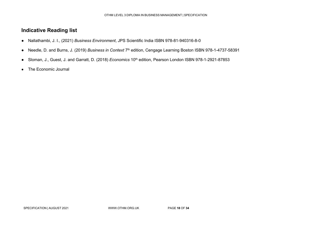- Nallathambi, J. I., (2021) *Business Environment*, JPS Scientific India ISBN 978-81-940316-8-0
- Needle, D. and Burns, J. (2019) *Business in Context* 7th edition, Cengage Learning Boston ISBN 978-1-4737-58391
- Sloman, J., Guest, J. and Garratt, D. (2018) *Economics* 10th edition, Pearson London ISBN 978-1-2921-87853
- The Economic Journal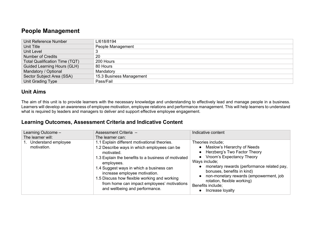## **People Management**

| Unit Reference Number                 | L/618/8194               |
|---------------------------------------|--------------------------|
| Unit Title                            | People Management        |
| Unit Level                            | 3                        |
| <b>Number of Credits</b>              | 20                       |
| <b>Total Qualification Time (TQT)</b> | 200 Hours                |
| <b>Guided Learning Hours (GLH)</b>    | 80 Hours                 |
| Mandatory / Optional                  | Mandatory                |
| Sector Subject Area (SSA)             | 15.3 Business Management |
| Unit Grading Type                     | Pass/Fail                |

## **Unit Aims**

The aim of this unit is to provide learners with the necessary knowledge and understanding to effectively lead and manage people in a business. Learners will develop an awareness of employee motivation, employee relations and performance management. This will help learners to understand what is required by leaders and managers to deliver and support effective employee engagement.

<span id="page-18-0"></span>

| Learning Outcome -<br>The learner will: | Assessment Criteria -<br>The learner can:                                                                                                                                                                                                                                                                                                                                                    | Indicative content                                                                                                                                                                                                                                                                                                                              |
|-----------------------------------------|----------------------------------------------------------------------------------------------------------------------------------------------------------------------------------------------------------------------------------------------------------------------------------------------------------------------------------------------------------------------------------------------|-------------------------------------------------------------------------------------------------------------------------------------------------------------------------------------------------------------------------------------------------------------------------------------------------------------------------------------------------|
| Understand employee<br>motivation.      | 1.1 Explain different motivational theories.<br>1.2 Describe ways in which employees can be<br>motivated.<br>1.3 Explain the benefits to a business of motivated<br>employees.<br>1.4 Suggest ways in which a business can<br>increase employee motivation.<br>1.5 Discuss how flexible working and working<br>from home can impact employees' motivations<br>and wellbeing and performance. | Theories include;<br>• Maslow's Hierarchy of Needs<br>• Herzberg's Two Factor Theory<br>• Vroom's Expectancy Theory<br>Ways include;<br>monetary rewards (performance related pay,<br>bonuses, benefits in kind)<br>non-monetary rewards (empowerment, job<br>rotation, flexible working)<br>Benefits include;<br>Increase loyalty<br>$\bullet$ |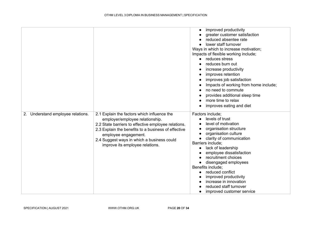|                                   |                                                                                                                                                                                                                                                                                                       | improved productivity<br>greater customer satisfaction<br>reduced absentee rate<br>lower staff turnover<br>Ways in which to increase motivation;<br>Impacts of flexible working include;<br>reduces stress<br>reduces burn out<br>increase productivity<br>improves retention<br>improves job satisfaction<br>Impacts of working from home include;<br>no need to commute<br>provides additional sleep time<br>more time to relax<br>improves eating and diet |
|-----------------------------------|-------------------------------------------------------------------------------------------------------------------------------------------------------------------------------------------------------------------------------------------------------------------------------------------------------|---------------------------------------------------------------------------------------------------------------------------------------------------------------------------------------------------------------------------------------------------------------------------------------------------------------------------------------------------------------------------------------------------------------------------------------------------------------|
| 2. Understand employee relations. | 2.1 Explain the factors which influence the<br>employer/employee relationship.<br>2.2 State barriers to effective employee relations.<br>2.3 Explain the benefits to a business of effective<br>employee engagement.<br>2.4 Suggest ways in which a business could<br>improve its employee relations. | Factors include;<br>levels of trust<br>level of motivation<br>organisation structure<br>organisation culture<br>clarity of communication<br>Barriers include;<br>lack of leadership<br>employee dissatisfaction<br>recruitment choices<br>disengaged employees<br>Benefits include;<br>reduced conflict<br>improved productivity<br>increase in innovation<br>reduced staff turnover<br>improved customer service                                             |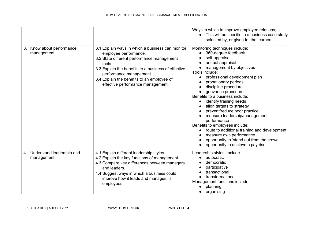|                                             |                                                                                                                                                                                                                                                                                                        | Ways in which to improve employee relations;<br>• This will be specific to a business case study<br>selected by, or given to, the learners.                                                                                                                                                                                                                                                                                                                                                                                                                                                                                 |
|---------------------------------------------|--------------------------------------------------------------------------------------------------------------------------------------------------------------------------------------------------------------------------------------------------------------------------------------------------------|-----------------------------------------------------------------------------------------------------------------------------------------------------------------------------------------------------------------------------------------------------------------------------------------------------------------------------------------------------------------------------------------------------------------------------------------------------------------------------------------------------------------------------------------------------------------------------------------------------------------------------|
| Know about performance<br>3.<br>management. | 3.1 Explain ways in which a business can monitor<br>employee performance.<br>3.2 State different performance management<br>tools.<br>3.3 Explain the benefits to a business of effective<br>performance management.<br>3.4 Explain the benefits to an employee of<br>effective performance management. | Monitoring techniques include;<br>360-degree feedback<br>self-appraisal<br>annual appraisal<br>management by objectives<br>Tools include;<br>professional development plan<br>probationary periods<br>discipline procedure<br>grievance procedure<br>Benefits to a business include;<br>identify training needs<br>align targets to strategy<br>prevent/reduce poor practice<br>measure leadership/management<br>performance<br>Benefits to employees include;<br>route to additional training and development<br>measure own performance<br>opportunity to 'stand out from the crowd'<br>opportunity to achieve a pay rise |
| 4. Understand leadership and<br>management. | 4.1 Explain different leadership styles.<br>4.2 Explain the key functions of management.<br>4.3 Compare key differences between managers<br>and leaders.<br>4.4 Suggest ways in which a business could<br>improve how it leads and manages its<br>employees.                                           | Leadership styles; include<br>autocratic<br>democratic<br>participative<br>transactional<br>transformational<br>Management functions include;<br>planning<br>organising                                                                                                                                                                                                                                                                                                                                                                                                                                                     |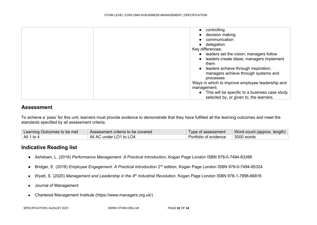| controlling                                                                                 |
|---------------------------------------------------------------------------------------------|
| decision making                                                                             |
| communication                                                                               |
| delegation                                                                                  |
| Key differences;                                                                            |
| • leaders set the vision; managers follow                                                   |
| leaders create ideas; managers implement<br>them                                            |
| leaders achieve through inspiration;<br>managers achieve through systems and<br>processes   |
| Ways in which to improve employee leadership and                                            |
| management;                                                                                 |
| • This will be specific to a business case study<br>selected by, or given to, the learners. |

To achieve a 'pass' for this unit, learners must provide evidence to demonstrate that they have fulfilled all the learning outcomes and meet the standards specified by all assessment criteria.

| Learning Outcomes to be met | Assessment criteria to be covered | Type of assessment    | Word count (approx. length) |
|-----------------------------|-----------------------------------|-----------------------|-----------------------------|
| All 1 to 4                  | All AC under LO1 to LO4           | Portfolio of evidence | $\vert$ 3000 words          |

- Ashdown, L. (2018) *Performance Management: A Practical Introduction*, Kogan Page London ISBN 978-0-7494-83388
- Bridger, E. (2018) *Employee Engagement: A Practical Introduction* 2nd edition, Kogan Page London ISBN 978-0-7494-85324
- Wyatt, S. (2020) *Management and Leadership in the 4th Industrial Revolution*, Kogan Page London ISBN 978-1-7896-66816
- Journal of Management
- Chartered Management Institute (https://www.managers.org.uk/)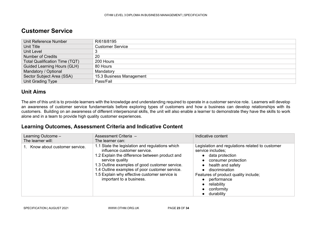## **Customer Service**

| Unit Reference Number                 | R/618/8195               |
|---------------------------------------|--------------------------|
| Unit Title                            | <b>Customer Service</b>  |
| Unit Level                            |                          |
| <b>Number of Credits</b>              | 20                       |
| <b>Total Qualification Time (TQT)</b> | 200 Hours                |
| <b>Guided Learning Hours (GLH)</b>    | 80 Hours                 |
| Mandatory / Optional                  | Mandatory                |
| Sector Subject Area (SSA)             | 15.3 Business Management |
| Unit Grading Type                     | Pass/Fail                |

#### **Unit Aims**

The aim of this unit is to provide learners with the knowledge and understanding required to operate in a customer service role. Learners will develop an awareness of customer service fundamentals before exploring types of customers and how a business can develop relationships with its customers. Building on an awareness of different interpersonal skills, the unit will also enable a learner to demonstrate they have the skills to work alone and in a team to provide high quality customer experiences.

<span id="page-22-0"></span>

| Learning Outcome -           | Assessment Criteria -                                                                                                                                                                                                                                                                                                                | Indicative content                                                                                                                                                                                                                                                     |
|------------------------------|--------------------------------------------------------------------------------------------------------------------------------------------------------------------------------------------------------------------------------------------------------------------------------------------------------------------------------------|------------------------------------------------------------------------------------------------------------------------------------------------------------------------------------------------------------------------------------------------------------------------|
| The learner will:            | The learner can:                                                                                                                                                                                                                                                                                                                     |                                                                                                                                                                                                                                                                        |
| Know about customer service. | 1.1 State the legislation and regulations which<br>influence customer service.<br>1.2 Explain the difference between product and<br>service quality<br>1.3 Outline examples of good customer service.<br>1.4 Outline examples of poor customer service.<br>1.5 Explain why effective customer service is<br>important to a business. | Legislation and regulations related to customer<br>service includes;<br>• data protection<br>consumer protection<br>$\bullet$<br>health and safety<br>discrimination<br>Features of product quality include;<br>performance<br>reliability<br>conformity<br>durability |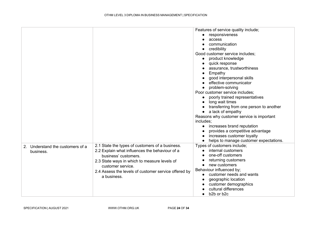|                                                              |                                                                                                                                                                                                                                                                       | Features of service quality include;<br>responsiveness<br>access<br>communication<br>credibility<br>Good customer service includes;<br>product knowledge<br>$\bullet$<br>quick response<br>assurance, trustworthiness<br>Empathy<br>good interpersonal skills<br>effective communicator<br>problem-solving<br>Poor customer service includes;<br>poorly trained representatives<br>$\bullet$<br>long wait times<br>$\bullet$<br>transferring from one person to another<br>a lack of empathy<br>$\bullet$<br>Reasons why customer service is important<br>includes;<br>increases brand reputation<br>$\bullet$<br>provides a competitive advantage<br>increases customer loyalty<br>$\bullet$ |
|--------------------------------------------------------------|-----------------------------------------------------------------------------------------------------------------------------------------------------------------------------------------------------------------------------------------------------------------------|-----------------------------------------------------------------------------------------------------------------------------------------------------------------------------------------------------------------------------------------------------------------------------------------------------------------------------------------------------------------------------------------------------------------------------------------------------------------------------------------------------------------------------------------------------------------------------------------------------------------------------------------------------------------------------------------------|
| Understand the customers of a<br>2 <sub>1</sub><br>business. | 2.1 State the types of customers of a business.<br>2.2 Explain what influences the behaviour of a<br>business' customers.<br>2.3 State ways in which to measure levels of<br>customer service.<br>2.4 Assess the levels of customer service offered by<br>a business. | helps to manage customer expectations.<br>$\bullet$<br>Types of customers include;<br>internal customers<br>$\bullet$<br>one-off customers<br>returning customers<br>new customers<br>Behaviour influenced by;<br>customer needs and wants<br>geographic location<br>customer demographics<br>cultural differences<br>b2b or b2c                                                                                                                                                                                                                                                                                                                                                              |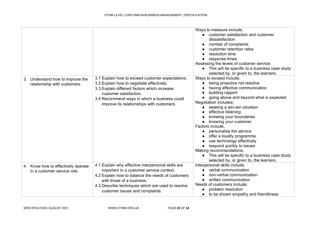|                                    |                                                    | Ways to measure include;                       |
|------------------------------------|----------------------------------------------------|------------------------------------------------|
|                                    |                                                    | customer satisfaction and customer             |
|                                    |                                                    | dissatisfaction                                |
|                                    |                                                    | number of complaints                           |
|                                    |                                                    | customer retention rates                       |
|                                    |                                                    | resolution time                                |
|                                    |                                                    | response times                                 |
|                                    |                                                    | Assessing the levels of customer service;      |
|                                    |                                                    | This will be specific to a business case study |
|                                    |                                                    | selected by, or given to, the learners.        |
| 3. Understand how to improve the   | 3.1 Explain how to exceed customer expectations.   | Ways to exceed include;                        |
| relationship with customers.       | 3.2 Explain how to negotiate effectively.          | being proactive not reactive                   |
|                                    | 3.3 Explain different factors which increase       | having effective communication                 |
|                                    | customer satisfaction.                             | building rapport                               |
|                                    | 3.4 Recommend ways in which a business could       | going above and beyond what is expected        |
|                                    | improve its relationships with customers.          | Negotiation includes;                          |
|                                    |                                                    | seeking a win-win situation                    |
|                                    |                                                    | effective listening                            |
|                                    |                                                    | knowing your boundaries                        |
|                                    |                                                    | knowing your customer                          |
|                                    |                                                    | Factors include;                               |
|                                    |                                                    | personalise the service                        |
|                                    |                                                    | offer a loyalty programme                      |
|                                    |                                                    | use technology effectively                     |
|                                    |                                                    | respond quickly to issues                      |
|                                    |                                                    | Making recommendations;                        |
|                                    |                                                    | This will be specific to a business case study |
|                                    |                                                    | selected by, or given to, the learners.        |
| 4. Know how to effectively operate | 4.1 Explain why effective interpersonal skills are | Interpersonal skills include;                  |
| in a customer service role.        | important in a customer service context.           | verbal communication                           |
|                                    | 4.2 Explain how to balance the needs of customers  | non-verbal communication                       |
|                                    | with those of a business.                          | written communication                          |
|                                    | 4.3 Describe techniques which are used to resolve  | Needs of customers include;                    |
|                                    | customer issues and complaints.                    | problem resolution                             |
|                                    |                                                    | to be shown empathy and friendliness           |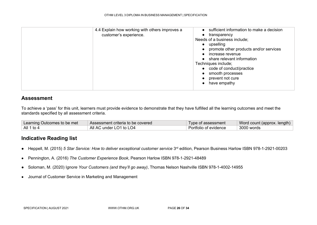| 4.4 Explain how working with others improves a<br>customer's experience. | sufficient information to make a decision<br>transparency<br>Needs of a business include;<br>upselling<br>promote other products and/or services<br>increase revenue<br>share relevant information<br>Techniques include;<br>code of conduct/practice<br>$\bullet$<br>smooth processes<br>prevent not cure<br>have empathy |
|--------------------------------------------------------------------------|----------------------------------------------------------------------------------------------------------------------------------------------------------------------------------------------------------------------------------------------------------------------------------------------------------------------------|
|                                                                          |                                                                                                                                                                                                                                                                                                                            |

To achieve a 'pass' for this unit, learners must provide evidence to demonstrate that they have fulfilled all the learning outcomes and meet the standards specified by all assessment criteria.

| Learning Outcomes to be met | Assessment criteria to be covered | Type of assessment    | Word count (approx. length) |
|-----------------------------|-----------------------------------|-----------------------|-----------------------------|
| All 1 to 4                  | All AC under LO1 to LO4           | Portfolio of evidence | 3000 words                  |

- Heppell, M. (2015) *5 Star Service: How to deliver exceptional customer service* 3rd edition, Pearson Business Harlow ISBN 978-1-2921-00203
- Pennington, A. (2016) *The Customer Experience Book*, Pearson Harlow ISBN 978-1-2921-48489
- Soloman, M. (2020) I*gnore Your Customers (and they'll go away)*, Thomas Nelson Nashville ISBN 978-1-4002-14955
- Journal of Customer Service in Marketing and Management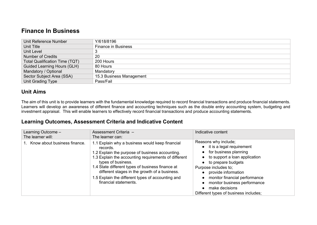## **Finance In Business**

| Unit Reference Number                 | Y/618/8196                 |
|---------------------------------------|----------------------------|
| Unit Title                            | <b>Finance in Business</b> |
| <b>Unit Level</b>                     |                            |
| <b>Number of Credits</b>              | 20                         |
| <b>Total Qualification Time (TQT)</b> | 200 Hours                  |
| <b>Guided Learning Hours (GLH)</b>    | 80 Hours                   |
| Mandatory / Optional                  | Mandatory                  |
| Sector Subject Area (SSA)             | 15.3 Business Management   |
| Unit Grading Type                     | Pass/Fail                  |

## **Unit Aims**

The aim of this unit is to provide learners with the fundamental knowledge required to record financial transactions and produce financial statements. Learners will develop an awareness of different finance and accounting techniques such as the double entry accounting system, budgeting and investment appraisal. This will enable learners to effectively record financial transactions and produce accounting statements.

<span id="page-26-0"></span>

| Learning Outcome -<br>The learner will: | Assessment Criteria -<br>The learner can:                                                                                                                                                                                                                                                                                                                                       | Indicative content                                                                                                                                                                                                                                                                                                     |
|-----------------------------------------|---------------------------------------------------------------------------------------------------------------------------------------------------------------------------------------------------------------------------------------------------------------------------------------------------------------------------------------------------------------------------------|------------------------------------------------------------------------------------------------------------------------------------------------------------------------------------------------------------------------------------------------------------------------------------------------------------------------|
| Know about business finance.            | 1.1 Explain why a business would keep financial<br>records.<br>1.2 Explain the purpose of business accounting.<br>1.3 Explain the accounting requirements of different<br>types of business.<br>1.4 State different types of business finance at<br>different stages in the growth of a business.<br>1.5 Explain the different types of accounting and<br>financial statements. | Reasons why include;<br>• it is a legal requirement<br>• for business planning<br>• to support a loan application<br>• to prepare budgets<br>Purpose includes to;<br>• provide information<br>monitor financial performance<br>monitor business performance<br>make decisions<br>Different types of business includes; |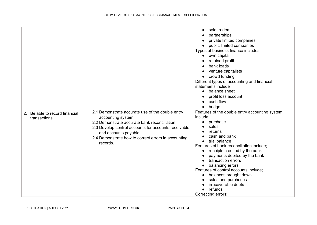| 2. Be able to record financial | 2.1 Demonstrate accurate use of the double entry                                                                                                                                                                        | sole traders<br>$\bullet$<br>partnerships<br>private limited companies<br>public limited companies<br>$\bullet$<br>Types of business finance includes;<br>own capital<br>retained profit<br>bank loads<br>venture capitalists<br>$\bullet$<br>crowd funding<br>$\bullet$<br>Different types of accounting and financial<br>statements include<br>balance sheet<br>$\bullet$<br>profit loss account<br>cash flow<br>budget<br>Features of the double entry accounting system |
|--------------------------------|-------------------------------------------------------------------------------------------------------------------------------------------------------------------------------------------------------------------------|-----------------------------------------------------------------------------------------------------------------------------------------------------------------------------------------------------------------------------------------------------------------------------------------------------------------------------------------------------------------------------------------------------------------------------------------------------------------------------|
| transactions.                  | accounting system.<br>2.2 Demonstrate accurate bank reconciliation.<br>2.3 Develop control accounts for accounts receivable<br>and accounts payable.<br>2.4 Demonstrate how to correct errors in accounting<br>records. | include;<br>purchase<br>$\bullet$<br>sales<br>returns<br>cash and bank<br>trial balance<br>$\bullet$<br>Features of bank reconciliation include;<br>receipts credited by the bank<br>$\bullet$<br>payments debited by the bank<br>transaction errors<br>$\bullet$<br>balancing errors<br>Features of control accounts include;<br>balances brought down<br>sales and purchases<br>irrecoverable debts<br>refunds<br>Correcting errors;                                      |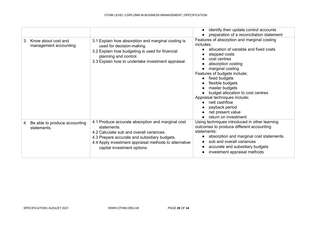|                                                          |                                                                                                                                                                                                                                                      | identify then update control accounts<br>$\bullet$                                                                                                                                                                                                                                                                                                                                                                                                   |
|----------------------------------------------------------|------------------------------------------------------------------------------------------------------------------------------------------------------------------------------------------------------------------------------------------------------|------------------------------------------------------------------------------------------------------------------------------------------------------------------------------------------------------------------------------------------------------------------------------------------------------------------------------------------------------------------------------------------------------------------------------------------------------|
|                                                          |                                                                                                                                                                                                                                                      | preparation of a reconciliation statement                                                                                                                                                                                                                                                                                                                                                                                                            |
| Know about cost and<br>$3_{-}$<br>management accounting. | 3.1 Explain how absorption and marginal costing is<br>used for decision-making.<br>3.2 Explain how budgeting is used for financial<br>planning and control.<br>3.3 Explain how to undertake investment appraisal.                                    | Features of absorption and marginal costing<br>includes;<br>allocation of variable and fixed costs<br>stepped costs<br>cost centres<br>$\bullet$<br>absorption costing<br>marginal costing<br>Features of budgets include;<br>fixed budgets<br>$\bullet$<br>flexible budgets<br>master budgets<br>budget allocation to cost centres<br>Appraisal techniques include;<br>nett cashflow<br>payback period<br>net present value<br>return on investment |
| Be able to produce accounting<br>4.<br>statements.       | 4.1 Produce accurate absorption and marginal cost<br>statements.<br>4.2 Calculate sub and overall variances.<br>4.3 Prepare accurate and subsidiary budgets.<br>4.4 Apply investment appraisal methods to alternative<br>capital investment options. | Using techniques introduced in other learning<br>outcomes to produce different accounting<br>statements:<br>absorption and marginal cost statements.<br>sub and overall variances<br>accurate and subsidiary budgets<br>investment appraisal methods                                                                                                                                                                                                 |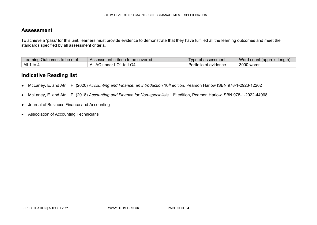To achieve a 'pass' for this unit, learners must provide evidence to demonstrate that they have fulfilled all the learning outcomes and meet the standards specified by all assessment criteria.

| Learning Outcomes to be met | Assessment criteria to be covered | Type of assessment    | Word count (approx. length) |
|-----------------------------|-----------------------------------|-----------------------|-----------------------------|
| All 1 to 4                  | All AC under LO1 to LO4           | Portfolio of evidence | 3000 words                  |

- McLaney, E. and Atrill, P. (2020) *Accounting and Finance: an introduction* 10<sup>th</sup> edition, Pearson Harlow ISBN 978-1-2923-12262
- McLaney, E. and Atrill, P. (2018) *Accounting and Finance for Non-specialists* 11th edition, Pearson Harlow ISBN 978-1-2922-44068
- Journal of Business Finance and Accounting
- Association of Accounting Technicians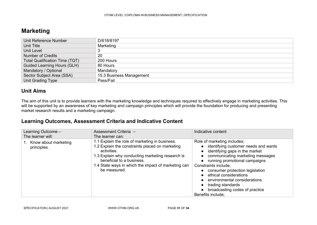## **Marketing**

| Unit Reference Number                 | D/618/8197               |
|---------------------------------------|--------------------------|
| Unit Title                            | Marketing                |
| Unit Level                            |                          |
| <b>Number of Credits</b>              | 20                       |
| <b>Total Qualification Time (TQT)</b> | 200 Hours                |
| <b>Guided Learning Hours (GLH)</b>    | 80 Hours                 |
| Mandatory / Optional                  | Mandatory                |
| Sector Subject Area (SSA)             | 15.3 Business Management |
| Unit Grading Type                     | Pass/Fail                |

#### **Unit Aims**

The aim of this unit is to provide learners with the marketing knowledge and techniques required to effectively engage in marketing activities. This will be supported by an awareness of key marketing and campaign principles which will provide the foundation for producing and presenting market research results and a marketing campaign.

<span id="page-30-0"></span>

| Learning Outcome -<br>The learner will:        | Assessment Criteria -<br>The learner can:                                                                                                                                                                                                                                | Indicative content                                                                                                                                                                                                                                                                                                                                                                                                                    |
|------------------------------------------------|--------------------------------------------------------------------------------------------------------------------------------------------------------------------------------------------------------------------------------------------------------------------------|---------------------------------------------------------------------------------------------------------------------------------------------------------------------------------------------------------------------------------------------------------------------------------------------------------------------------------------------------------------------------------------------------------------------------------------|
| Know about marketing<br>$1_{-}$<br>principles. | 1.1 Explain the role of marketing in business.<br>1.2 Explain the constraints placed on marketing<br>activities.<br>1.3 Explain why conducting marketing research is<br>beneficial to a business.<br>1.4 State ways in which the impact of marketing can<br>be measured. | Role of marketing includes;<br>• identifying customer needs and wants<br>• identifying gaps in the market<br>communicating marketing messages<br>running promotional campaigns<br>$\bullet$<br>Constraints include;<br>• consumer protection legislation<br>ethical considerations<br>$\bullet$<br>environmental considerations<br>$\bullet$<br>trading standards<br>broadcasting codes of practice<br>$\bullet$<br>Benefits include; |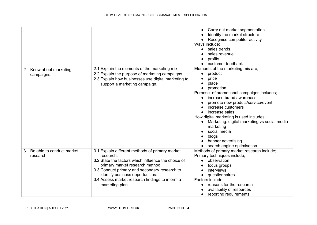|                           |                                                              | Carry out market segmentation                |
|---------------------------|--------------------------------------------------------------|----------------------------------------------|
|                           |                                                              | Identify the market structure                |
|                           |                                                              | Recognise competitor activity                |
|                           |                                                              | Ways include;                                |
|                           |                                                              | sales trends                                 |
|                           |                                                              | sales revenue                                |
|                           |                                                              | profits                                      |
|                           |                                                              | customer feedback                            |
| Know about marketing      | 2.1 Explain the elements of the marketing mix.               | Elements of the marketing mis are;           |
| 2.                        | 2.2 Explain the purpose of marketing campaigns.              | product                                      |
| campaigns.                | 2.3 Explain how businesses use digital marketing to          | price                                        |
|                           |                                                              | place                                        |
|                           | support a marketing campaign.                                | promotion                                    |
|                           |                                                              | Purpose of promotional campaigns includes;   |
|                           |                                                              | increase brand awareness                     |
|                           |                                                              | promote new product/service/event            |
|                           |                                                              | increase customers                           |
|                           |                                                              | increase sales                               |
|                           |                                                              | How digital marketing is used includes;      |
|                           |                                                              | Marketing. digital marketing vs social media |
|                           |                                                              | marketing                                    |
|                           |                                                              | social media                                 |
|                           |                                                              |                                              |
|                           |                                                              | blogs<br>banner advertising                  |
|                           |                                                              |                                              |
| Be able to conduct market |                                                              | search engine optimisation                   |
| 3.                        | 3.1 Explain different methods of primary market<br>research. | Methods of primary market research include;  |
| research.                 | 3.2 State the factors which influence the choice of          | Primary techniques include;<br>observation   |
|                           |                                                              |                                              |
|                           | primary market research method.                              | focus groups                                 |
|                           | 3.3 Conduct primary and secondary research to                | interviews                                   |
|                           | identify business opportunities.                             | questionnaires                               |
|                           | 3.4 Assess market research findings to inform a              | Factors include;                             |
|                           | marketing plan.                                              | reasons for the research                     |
|                           |                                                              | availability of resources                    |
|                           |                                                              | reporting requirements                       |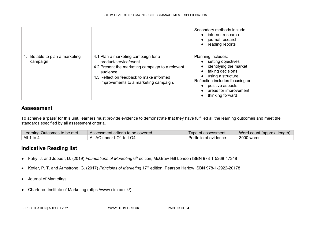|                                                |                                                                                                                                                                                                                     | Secondary methods include<br>• internet research<br>• journal research<br>• reading reports                                                                                                                           |  |
|------------------------------------------------|---------------------------------------------------------------------------------------------------------------------------------------------------------------------------------------------------------------------|-----------------------------------------------------------------------------------------------------------------------------------------------------------------------------------------------------------------------|--|
| Be able to plan a marketing<br>4.<br>campaign. | 4.1 Plan a marketing campaign for a<br>product/service/event.<br>4.2 Present the marketing campaign to a relevant<br>audience.<br>4.3 Reflect on feedback to make informed<br>improvements to a marketing campaign. | Planning includes;<br>• setting objectives<br>identifying the market<br>• taking decisions<br>using a structure<br>Reflection includes focusing on<br>• positive aspects<br>areas for improvement<br>thinking forward |  |

To achieve a 'pass' for this unit, learners must provide evidence to demonstrate that they have fulfilled all the learning outcomes and meet the standards specified by all assessment criteria.

| Learning Outcomes to be met | Assessment criteria to be covered | Type of assessment    | Word count (approx. length) |
|-----------------------------|-----------------------------------|-----------------------|-----------------------------|
| All 1 to 4                  | All AC under LO1 to LO4           | Portfolio of evidence | 3000 words                  |

- Fahy, J. and Jobber, D. (2019) *Foundations of Marketing* 6th edition, McGraw-Hill London ISBN 978-1-5268-47348
- Kotler, P. T. and Armstrong, G. (2017) *Principles of Marketing* 17th edition, Pearson Harlow ISBN 978-1-2922-20178
- Journal of Marketing
- Chartered Institute of Marketing [\(https://www.cim.co.uk/\)](https://www.cim.co.uk/)